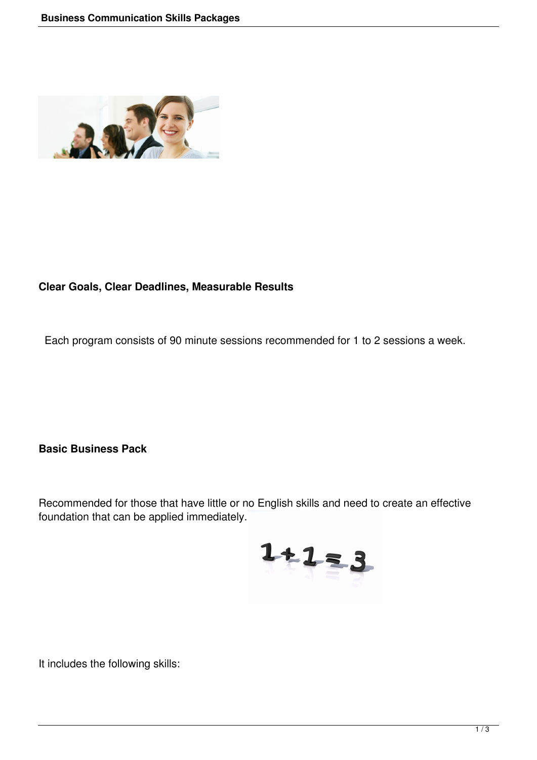

## **Clear Goals, Clear Deadlines, Measurable Results**

Each program consists of 90 minute sessions recommended for 1 to 2 sessions a week.

**Basic Business Pack**

Recommended for those that have little or no English skills and need to create an effective foundation that can be applied immediately.



It includes the following skills: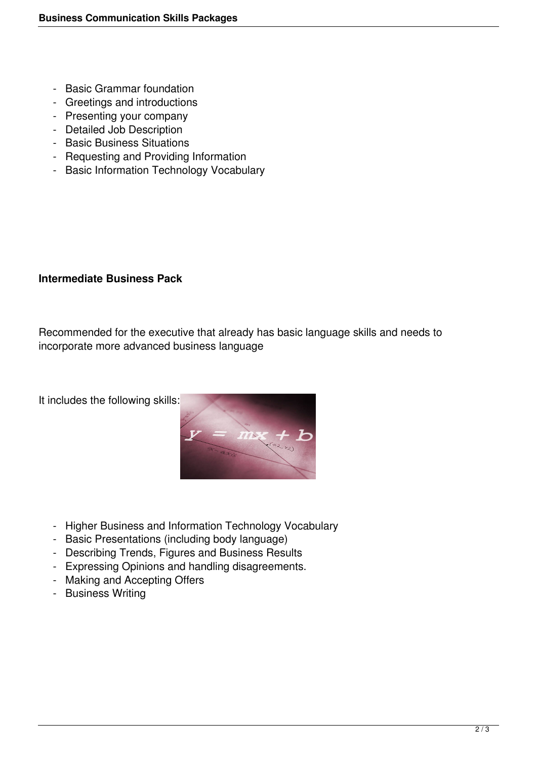- Basic Grammar foundation
- Greetings and introductions
- Presenting your company
- Detailed Job Description
- Basic Business Situations
- Requesting and Providing Information
- Basic Information Technology Vocabulary

## **Intermediate Business Pack**

Recommended for the executive that already has basic language skills and needs to incorporate more advanced business language

It includes the following skills:



- Higher Business and Information Technology Vocabulary
- Basic Presentations (including body language)
- Describing Trends, Figures and Business Results
- Expressing Opinions and handling disagreements.
- Making and Accepting Offers
- Business Writing